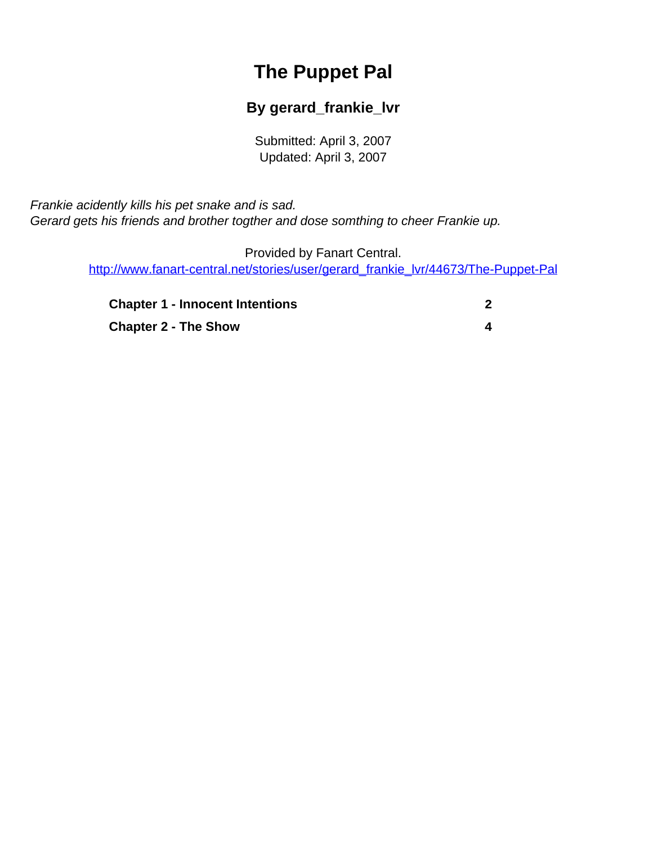# **The Puppet Pal**

#### **By gerard\_frankie\_lvr**

Submitted: April 3, 2007 Updated: April 3, 2007

<span id="page-0-0"></span>Frankie acidently kills his pet snake and is sad. Gerard gets his friends and brother togther and dose somthing to cheer Frankie up.

> Provided by Fanart Central. [http://www.fanart-central.net/stories/user/gerard\\_frankie\\_lvr/44673/The-Puppet-Pal](#page-0-0)

| <b>Chapter 1 - Innocent Intentions</b> |  |
|----------------------------------------|--|
| <b>Chapter 2 - The Show</b>            |  |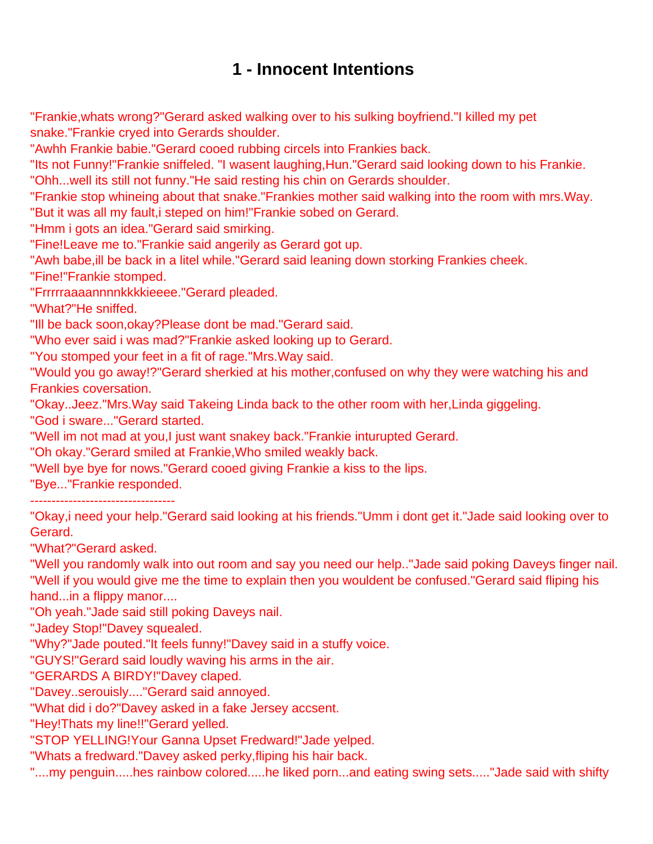## **1 - Innocent Intentions**

<span id="page-1-0"></span>"Frankie,whats wrong?"Gerard asked walking over to his sulking boyfriend."I killed my pet snake."Frankie cryed into Gerards shoulder.

"Awhh Frankie babie."Gerard cooed rubbing circels into Frankies back.

"Its not Funny!"Frankie sniffeled. "I wasent laughing,Hun."Gerard said looking down to his Frankie. "Ohh...well its still not funny."He said resting his chin on Gerards shoulder.

"Frankie stop whineing about that snake."Frankies mother said walking into the room with mrs.Way.

"But it was all my fault,i steped on him!"Frankie sobed on Gerard.

"Hmm i gots an idea."Gerard said smirking.

"Fine!Leave me to."Frankie said angerily as Gerard got up.

"Awh babe,ill be back in a litel while."Gerard said leaning down storking Frankies cheek.

"Fine!"Frankie stomped.

"Frrrrraaaannnnkkkkieeee."Gerard pleaded.

"What?"He sniffed.

"Ill be back soon,okay?Please dont be mad."Gerard said.

"Who ever said i was mad?"Frankie asked looking up to Gerard.

"You stomped your feet in a fit of rage."Mrs.Way said.

"Would you go away!?"Gerard sherkied at his mother,confused on why they were watching his and Frankies coversation.

"Okay..Jeez."Mrs.Way said Takeing Linda back to the other room with her,Linda giggeling.

"God i sware..."Gerard started.

"Well im not mad at you,I just want snakey back."Frankie inturupted Gerard.

"Oh okay."Gerard smiled at Frankie,Who smiled weakly back.

"Well bye bye for nows."Gerard cooed giving Frankie a kiss to the lips.

"Bye..."Frankie responded.

----------------------------------

"Okay,i need your help."Gerard said looking at his friends."Umm i dont get it."Jade said looking over to Gerard.

"What?"Gerard asked.

"Well you randomly walk into out room and say you need our help.."Jade said poking Daveys finger nail. "Well if you would give me the time to explain then you wouldent be confused."Gerard said fliping his hand...in a flippy manor....

"Oh yeah."Jade said still poking Daveys nail.

"Jadey Stop!"Davey squealed.

"Why?"Jade pouted."It feels funny!"Davey said in a stuffy voice.

"GUYS!"Gerard said loudly waving his arms in the air.

"GERARDS A BIRDY!"Davey claped.

"Davey..serouisly...."Gerard said annoyed.

"What did i do?"Davey asked in a fake Jersey accsent.

"Hey!Thats my line!!"Gerard yelled.

"STOP YELLING!Your Ganna Upset Fredward!"Jade yelped.

"Whats a fredward."Davey asked perky,fliping his hair back.

"....my penguin.....hes rainbow colored.....he liked porn...and eating swing sets....."Jade said with shifty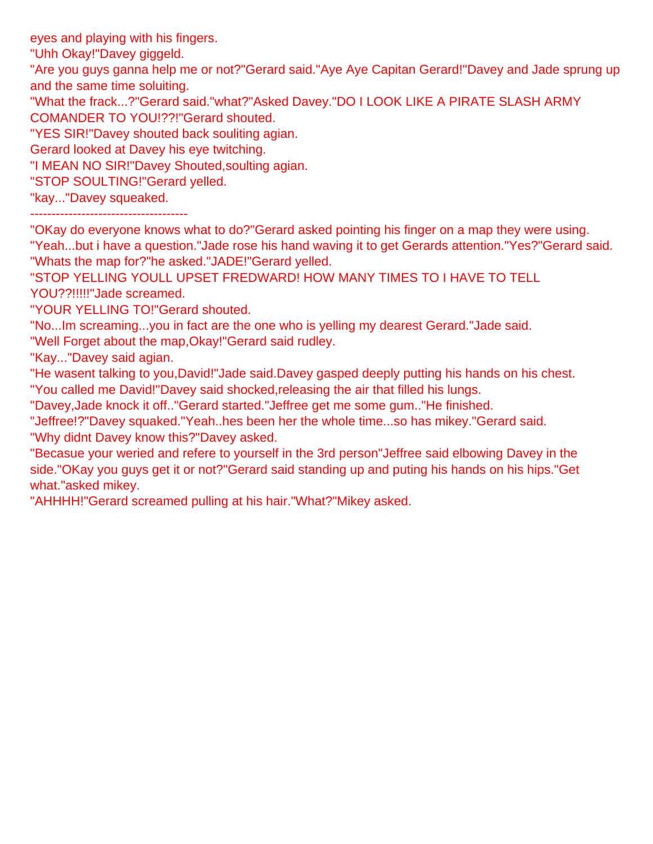eyes and playing with his fingers.

"Uhh Okay!"Davey giggeld.

"Are you guys ganna help me or not?"Gerard said."Aye Aye Capitan Gerard!"Davey and Jade sprung up and the same time soluiting.

"What the frack...?"Gerard said."what?"Asked Davey."DO I LOOK LIKE A PIRATE SLASH ARMY COMANDER TO YOU!??!"Gerard shouted.

"YES SIR!"Davey shouted back souliting agian.

Gerard looked at Davey his eye twitching.

"I MEAN NO SIR!"Davey Shouted,soulting agian.

"STOP SOULTING!"Gerard yelled.

"kay..."Davey squeaked.

-------------------------------------

"OKay do everyone knows what to do?"Gerard asked pointing his finger on a map they were using.

"Yeah...but i have a question."Jade rose his hand waving it to get Gerards attention."Yes?"Gerard said. "Whats the map for?"he asked."JADE!"Gerard yelled.

"STOP YELLING YOULL UPSET FREDWARD! HOW MANY TIMES TO I HAVE TO TELL YOU??!!!!!"Jade screamed.

"YOUR YELLING TO!"Gerard shouted.

"No...Im screaming...you in fact are the one who is yelling my dearest Gerard."Jade said.

"Well Forget about the map,Okay!"Gerard said rudley.

"Kay..."Davey said agian.

"He wasent talking to you,David!"Jade said.Davey gasped deeply putting his hands on his chest.

"You called me David!"Davey said shocked,releasing the air that filled his lungs.

"Davey,Jade knock it off.."Gerard started."Jeffree get me some gum.."He finished.

"Jeffree!?"Davey squaked."Yeah..hes been her the whole time...so has mikey."Gerard said. "Why didnt Davey know this?"Davey asked.

"Becasue your weried and refere to yourself in the 3rd person"Jeffree said elbowing Davey in the side."OKay you guys get it or not?"Gerard said standing up and puting his hands on his hips."Get what."asked mikey.

"AHHHH!"Gerard screamed pulling at his hair."What?"Mikey asked.